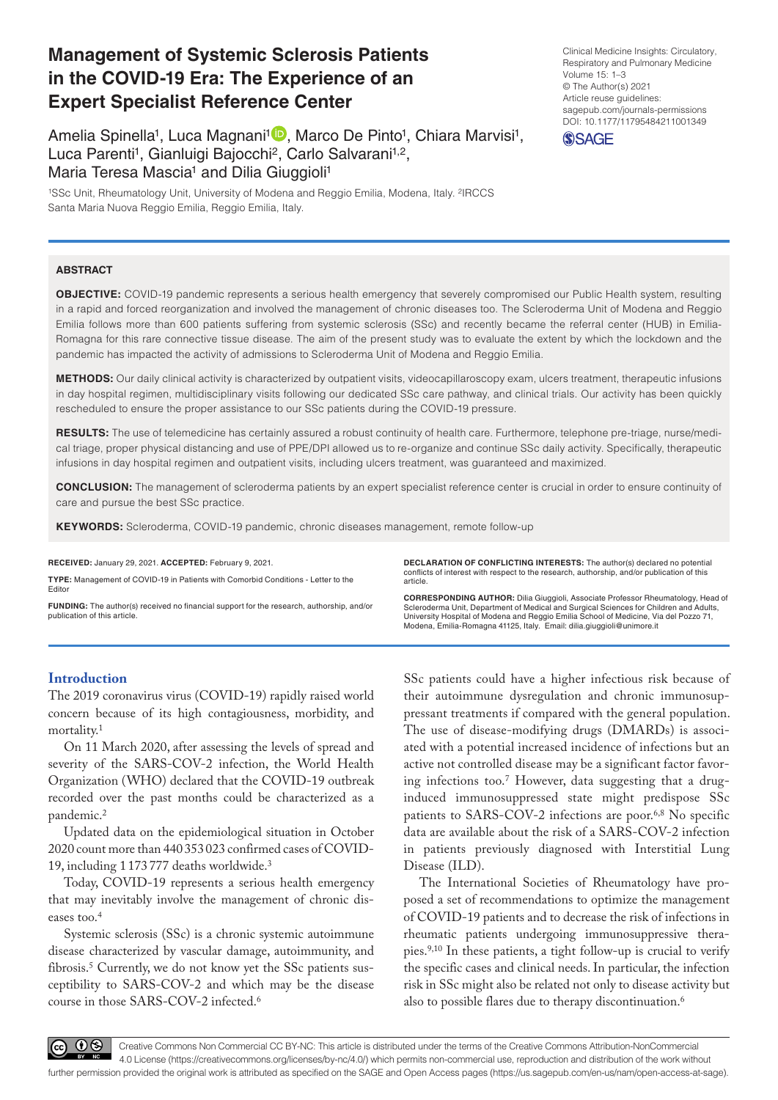# **Management of Systemic Sclerosis Patients in the COVID-19 Era: The Experience of an Expert Specialist Reference Center**

[sagepub.com/journals-permissions](https://uk.sagepub.com/en-gb/journals-permissions) Clinical Medicine Insights: Circulatory, Respiratory and Pulmonary Medicine Volume 15: 1–3 © The Author(s) 2021 Article reuse guidelines: DOI: 10.1177/11795484211001349



Amelia Spinella<sup>1</sup>, Luca Magnani<sup>1</sup><sup>D</sup>, Marco De Pinto<sup>1</sup>, Chiara Marvisi<sup>1</sup>, Luca Parenti<sup>1</sup>, Gianluigi Bajocchi<sup>2</sup>, Carlo Salvarani<sup>1,2</sup>, Maria Teresa Mascia<sup>1</sup> and Dilia Giuggioli<sup>1</sup>

1SSc Unit, Rheumatology Unit, University of Modena and Reggio Emilia, Modena, Italy. 2IRCCS Santa Maria Nuova Reggio Emilia, Reggio Emilia, Italy.

#### **ABSTRACT**

**OBJECTIVE:** COVID-19 pandemic represents a serious health emergency that severely compromised our Public Health system, resulting in a rapid and forced reorganization and involved the management of chronic diseases too. The Scleroderma Unit of Modena and Reggio Emilia follows more than 600 patients suffering from systemic sclerosis (SSc) and recently became the referral center (HUB) in Emilia-Romagna for this rare connective tissue disease. The aim of the present study was to evaluate the extent by which the lockdown and the pandemic has impacted the activity of admissions to Scleroderma Unit of Modena and Reggio Emilia.

**Methods:** Our daily clinical activity is characterized by outpatient visits, videocapillaroscopy exam, ulcers treatment, therapeutic infusions in day hospital regimen, multidisciplinary visits following our dedicated SSc care pathway, and clinical trials. Our activity has been quickly rescheduled to ensure the proper assistance to our SSc patients during the COVID-19 pressure.

**Results:** The use of telemedicine has certainly assured a robust continuity of health care. Furthermore, telephone pre-triage, nurse/medical triage, proper physical distancing and use of PPE/DPI allowed us to re-organize and continue SSc daily activity. Specifically, therapeutic infusions in day hospital regimen and outpatient visits, including ulcers treatment, was guaranteed and maximized.

**Conclusion:** The management of scleroderma patients by an expert specialist reference center is crucial in order to ensure continuity of care and pursue the best SSc practice.

KEYWORDS: Scleroderma, COVID-19 pandemic, chronic diseases management, remote follow-up

**RECEIVED:** January 29, 2021. **ACCEPTED:** February 9, 2021.

**Type:** Management of COVID-19 in Patients with Comorbid Conditions - Letter to the **Editor** 

**Funding:** The author(s) received no financial support for the research, authorship, and/or publication of this article.

**Declaration of conflicting interests:** The author(s) declared no potential conflicts of interest with respect to the research, authorship, and/or publication of this article.

**CORRESPONDING AUTHOR:** Dilia Giuggioli, Associate Professor Rheumatology, Head of Scleroderma Unit, Department of Medical and Surgical Sciences for Children and Adults,<br>University Hospital of Modena and Reggio Emilia School of Medicine, Via del Pozzo 71,<br>Modena, Emilia-Romagna 41125, Italy. Email: dil

# **Introduction**

The 2019 coronavirus virus (COVID-19) rapidly raised world concern because of its high contagiousness, morbidity, and mortality.1

On 11 March 2020, after assessing the levels of spread and severity of the SARS-COV-2 infection, the World Health Organization (WHO) declared that the COVID-19 outbreak recorded over the past months could be characterized as a pandemic.2

Updated data on the epidemiological situation in October 2020 count more than 440 353023 confirmed cases of COVID-19, including 1173 777 deaths worldwide.3

Today, COVID-19 represents a serious health emergency that may inevitably involve the management of chronic diseases too.4

Systemic sclerosis (SSc) is a chronic systemic autoimmune disease characterized by vascular damage, autoimmunity, and fibrosis.<sup>5</sup> Currently, we do not know yet the SSc patients susceptibility to SARS-COV-2 and which may be the disease course in those SARS-COV-2 infected.6

SSc patients could have a higher infectious risk because of their autoimmune dysregulation and chronic immunosuppressant treatments if compared with the general population. The use of disease-modifying drugs (DMARDs) is associated with a potential increased incidence of infections but an active not controlled disease may be a significant factor favoring infections too.7 However, data suggesting that a druginduced immunosuppressed state might predispose SSc patients to SARS-COV-2 infections are poor.<sup>6,8</sup> No specific data are available about the risk of a SARS-COV-2 infection in patients previously diagnosed with Interstitial Lung Disease (ILD).

The International Societies of Rheumatology have proposed a set of recommendations to optimize the management of COVID-19 patients and to decrease the risk of infections in rheumatic patients undergoing immunosuppressive therapies.9,10 In these patients, a tight follow-up is crucial to verify the specific cases and clinical needs. In particular, the infection risk in SSc might also be related not only to disease activity but also to possible flares due to therapy discontinuation.<sup>6</sup>

60 Q

Creative Commons Non Commercial CC BY-NC: This article is distributed under the terms of the Creative Commons Attribution-NonCommercial 4.0 License (https://creativecommons.org/licenses/by-nc/4.0/) which permits non-commercial use, reproduction and distribution of the work without further permission provided the original work is attributed as specified on the SAGE and Open Access pages (https://us.sagepub.com/en-us/nam/open-access-at-sage).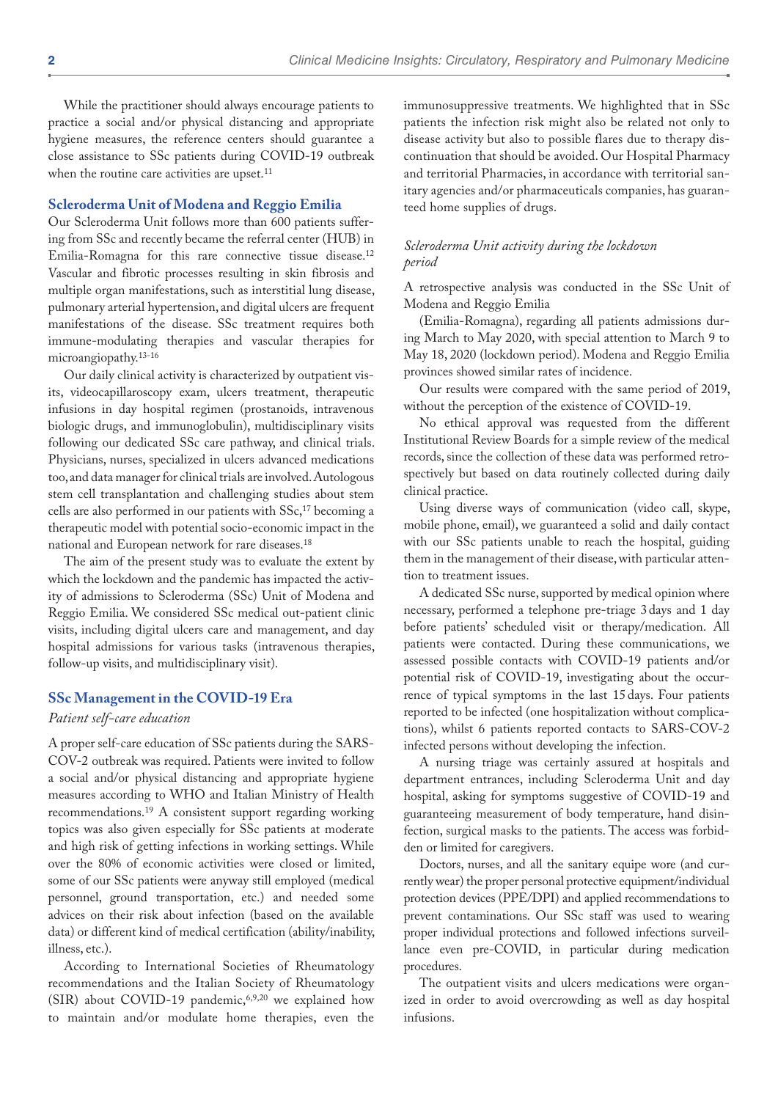While the practitioner should always encourage patients to practice a social and/or physical distancing and appropriate hygiene measures, the reference centers should guarantee a close assistance to SSc patients during COVID-19 outbreak when the routine care activities are upset.<sup>11</sup>

#### **Scleroderma Unit of Modena and Reggio Emilia**

Our Scleroderma Unit follows more than 600 patients suffering from SSc and recently became the referral center (HUB) in Emilia-Romagna for this rare connective tissue disease.12 Vascular and fibrotic processes resulting in skin fibrosis and multiple organ manifestations, such as interstitial lung disease, pulmonary arterial hypertension, and digital ulcers are frequent manifestations of the disease. SSc treatment requires both immune-modulating therapies and vascular therapies for microangiopathy.13-16

Our daily clinical activity is characterized by outpatient visits, videocapillaroscopy exam, ulcers treatment, therapeutic infusions in day hospital regimen (prostanoids, intravenous biologic drugs, and immunoglobulin), multidisciplinary visits following our dedicated SSc care pathway, and clinical trials. Physicians, nurses, specialized in ulcers advanced medications too, and data manager for clinical trials are involved. Autologous stem cell transplantation and challenging studies about stem cells are also performed in our patients with SSc,<sup>17</sup> becoming a therapeutic model with potential socio-economic impact in the national and European network for rare diseases.18

The aim of the present study was to evaluate the extent by which the lockdown and the pandemic has impacted the activity of admissions to Scleroderma (SSc) Unit of Modena and Reggio Emilia. We considered SSc medical out-patient clinic visits, including digital ulcers care and management, and day hospital admissions for various tasks (intravenous therapies, follow-up visits, and multidisciplinary visit).

# **SSc Management in the COVID-19 Era**

#### *Patient self-care education*

A proper self-care education of SSc patients during the SARS-COV-2 outbreak was required. Patients were invited to follow a social and/or physical distancing and appropriate hygiene measures according to WHO and Italian Ministry of Health recommendations.19 A consistent support regarding working topics was also given especially for SSc patients at moderate and high risk of getting infections in working settings. While over the 80% of economic activities were closed or limited, some of our SSc patients were anyway still employed (medical personnel, ground transportation, etc.) and needed some advices on their risk about infection (based on the available data) or different kind of medical certification (ability/inability, illness, etc.).

According to International Societies of Rheumatology recommendations and the Italian Society of Rheumatology (SIR) about COVID-19 pandemic,<sup>6,9,20</sup> we explained how to maintain and/or modulate home therapies, even the immunosuppressive treatments. We highlighted that in SSc patients the infection risk might also be related not only to disease activity but also to possible flares due to therapy discontinuation that should be avoided. Our Hospital Pharmacy and territorial Pharmacies, in accordance with territorial sanitary agencies and/or pharmaceuticals companies, has guaranteed home supplies of drugs.

### *Scleroderma Unit activity during the lockdown period*

A retrospective analysis was conducted in the SSc Unit of Modena and Reggio Emilia

(Emilia-Romagna), regarding all patients admissions during March to May 2020, with special attention to March 9 to May 18, 2020 (lockdown period). Modena and Reggio Emilia provinces showed similar rates of incidence.

Our results were compared with the same period of 2019, without the perception of the existence of COVID-19.

No ethical approval was requested from the different Institutional Review Boards for a simple review of the medical records, since the collection of these data was performed retrospectively but based on data routinely collected during daily clinical practice.

Using diverse ways of communication (video call, skype, mobile phone, email), we guaranteed a solid and daily contact with our SSc patients unable to reach the hospital, guiding them in the management of their disease, with particular attention to treatment issues.

A dedicated SSc nurse, supported by medical opinion where necessary, performed a telephone pre-triage 3days and 1 day before patients' scheduled visit or therapy/medication. All patients were contacted. During these communications, we assessed possible contacts with COVID-19 patients and/or potential risk of COVID-19, investigating about the occurrence of typical symptoms in the last 15days. Four patients reported to be infected (one hospitalization without complications), whilst 6 patients reported contacts to SARS-COV-2 infected persons without developing the infection.

A nursing triage was certainly assured at hospitals and department entrances, including Scleroderma Unit and day hospital, asking for symptoms suggestive of COVID-19 and guaranteeing measurement of body temperature, hand disinfection, surgical masks to the patients. The access was forbidden or limited for caregivers.

Doctors, nurses, and all the sanitary equipe wore (and currently wear) the proper personal protective equipment/individual protection devices (PPE/DPI) and applied recommendations to prevent contaminations. Our SSc staff was used to wearing proper individual protections and followed infections surveillance even pre-COVID, in particular during medication procedures.

The outpatient visits and ulcers medications were organized in order to avoid overcrowding as well as day hospital infusions.